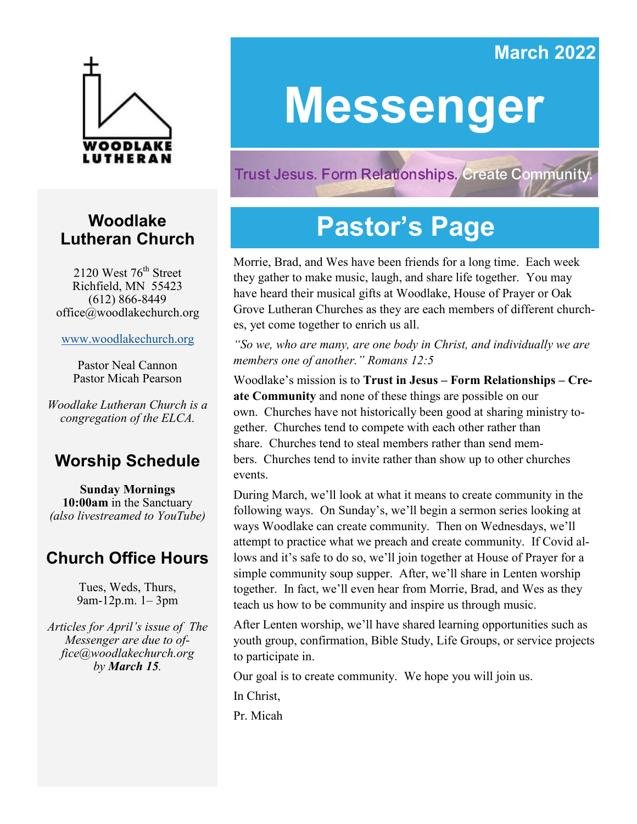### **March 2022**



### **Woodlake Lutheran Church**

2120 West  $76<sup>th</sup>$  Street Richfield, MN 55423 (612) 866-8449 office@woodlakechurch.org

[www.woodlakechurch.org](http://www.woodlakechurch.org)

Pastor Neal Cannon Pastor Micah Pearson

*Woodlake Lutheran Church is a congregation of the ELCA.*

### **Worship Schedule**

**Sunday Mornings 10:00am** in the Sanctuary *(also livestreamed to YouTube)*

### **Church Office Hours**

Tues, Weds, Thurs, 9am-12p.m. 1– 3pm

*Articles for April's issue of The Messenger are due to office@woodlakechurch.org by March 15.* 

# **Messenger**

**Trust Jesus. Form Relationships. Create Community** 

# **Pastor's Page**

Morrie, Brad, and Wes have been friends for a long time. Each week they gather to make music, laugh, and share life together. You may have heard their musical gifts at Woodlake, House of Prayer or Oak Grove Lutheran Churches as they are each members of different churches, yet come together to enrich us all.

*"So we, who are many, are one body in Christ, and individually we are members one of another." Romans 12:5*

Woodlake's mission is to **Trust in Jesus – Form Relationships – Create Community** and none of these things are possible on our own. Churches have not historically been good at sharing ministry together. Churches tend to compete with each other rather than share. Churches tend to steal members rather than send members. Churches tend to invite rather than show up to other churches events.

During March, we'll look at what it means to create community in the following ways. On Sunday's, we'll begin a sermon series looking at ways Woodlake can create community. Then on Wednesdays, we'll attempt to practice what we preach and create community. If Covid allows and it's safe to do so, we'll join together at House of Prayer for a simple community soup supper. After, we'll share in Lenten worship together. In fact, we'll even hear from Morrie, Brad, and Wes as they teach us how to be community and inspire us through music.

After Lenten worship, we'll have shared learning opportunities such as youth group, confirmation, Bible Study, Life Groups, or service projects to participate in.

Our goal is to create community. We hope you will join us.

In Christ,

Pr. Micah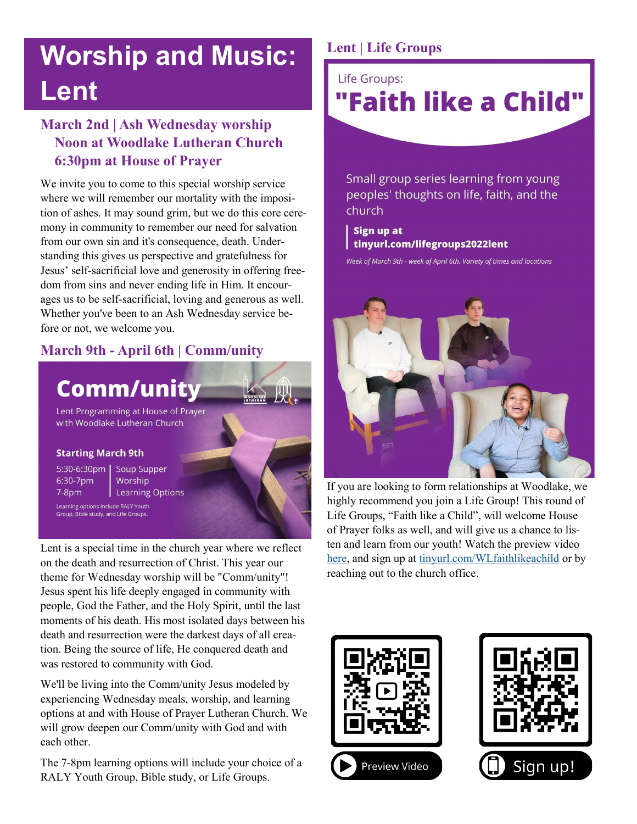# **Worship and Music: Lent**

### **March 2nd | Ash Wednesday worship Noon at Woodlake Lutheran Church 6:30pm at House of Prayer**

We invite you to come to this special worship service where we will remember our mortality with the imposition of ashes. It may sound grim, but we do this core ceremony in community to remember our need for salvation from our own sin and it's consequence, death. Understanding this gives us perspective and gratefulness for Jesus' self-sacrificial love and generosity in offering freedom from sins and never ending life in Him. It encourages us to be self-sacrificial, loving and generous as well. Whether you've been to an Ash Wednesday service before or not, we welcome you.

### **March 9th - April 6th | Comm/unity**

## **Comm/unity**

Lent Programming at House of Prayer with Woodlake Lutheran Church

#### **Starting March 9th**

6:30-7pm  $7-8<sub>pm</sub>$ 

5:30-6:30pm | Soup Supper Worship | Learning Options

Learning options include RALY Youth Group, Bible study, and Life Groups.

Lent is a special time in the church year where we reflect on the death and resurrection of Christ. This year our theme for Wednesday worship will be "Comm/unity"! Jesus spent his life deeply engaged in community with people, God the Father, and the Holy Spirit, until the last moments of his death. His most isolated days between his death and resurrection were the darkest days of all creation. Being the source of life, He conquered death and was restored to community with God.

We'll be living into the Comm/unity Jesus modeled by experiencing Wednesday meals, worship, and learning options at and with House of Prayer Lutheran Church. We will grow deepen our Comm/unity with God and with each other.

The 7-8pm learning options will include your choice of a RALY Youth Group, Bible study, or Life Groups.

### **Lent | Life Groups**

Life Groups:

# "Faith like a Child"

Small group series learning from young peoples' thoughts on life, faith, and the church

Sign up at tinyurl.com/lifegroups2022lent

Week of March 9th - week of April 6th. Variety of times and locations



If you are looking to form relationships at Woodlake, we highly recommend you join a Life Group! This round of Life Groups, "Faith like a Child", will welcome House of Prayer folks as well, and will give us a chance to listen and learn from our youth! Watch the preview video [here,](https://www.youtube.com/watch?v=hstmI-A7JEg) and sign up at [tinyurl.com/WLfaithlikeachild](https://tinyurl.com/WLfaithlikeachild) or by reaching out to the church office.



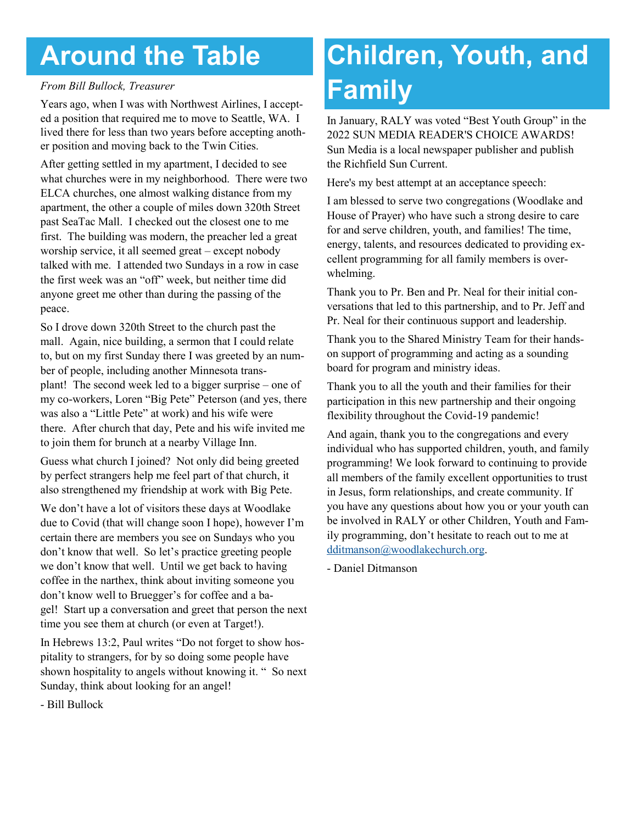# **Around the Table**

#### *From Bill Bullock, Treasurer*

Years ago, when I was with Northwest Airlines, I accepted a position that required me to move to Seattle, WA. I lived there for less than two years before accepting another position and moving back to the Twin Cities.

After getting settled in my apartment, I decided to see what churches were in my neighborhood. There were two ELCA churches, one almost walking distance from my apartment, the other a couple of miles down 320th Street past SeaTac Mall. I checked out the closest one to me first. The building was modern, the preacher led a great worship service, it all seemed great – except nobody talked with me. I attended two Sundays in a row in case the first week was an "off" week, but neither time did anyone greet me other than during the passing of the peace.

So I drove down 320th Street to the church past the mall. Again, nice building, a sermon that I could relate to, but on my first Sunday there I was greeted by an number of people, including another Minnesota transplant! The second week led to a bigger surprise – one of my co-workers, Loren "Big Pete" Peterson (and yes, there was also a "Little Pete" at work) and his wife were there. After church that day, Pete and his wife invited me to join them for brunch at a nearby Village Inn.

Guess what church I joined? Not only did being greeted by perfect strangers help me feel part of that church, it also strengthened my friendship at work with Big Pete.

We don't have a lot of visitors these days at Woodlake due to Covid (that will change soon I hope), however I'm certain there are members you see on Sundays who you don't know that well. So let's practice greeting people we don't know that well. Until we get back to having coffee in the narthex, think about inviting someone you don't know well to Bruegger's for coffee and a bagel! Start up a conversation and greet that person the next time you see them at church (or even at Target!).

In Hebrews 13:2, Paul writes "Do not forget to show hospitality to strangers, for by so doing some people have shown hospitality to angels without knowing it. " So next Sunday, think about looking for an angel!

- Bill Bullock

# **Children, Youth, and Family**

In January, RALY was voted "Best Youth Group" in the 2022 SUN MEDIA READER'S CHOICE AWARDS! Sun Media is a local newspaper publisher and publish the Richfield Sun Current.

Here's my best attempt at an acceptance speech:

I am blessed to serve two congregations (Woodlake and House of Prayer) who have such a strong desire to care for and serve children, youth, and families! The time, energy, talents, and resources dedicated to providing excellent programming for all family members is overwhelming.

Thank you to Pr. Ben and Pr. Neal for their initial conversations that led to this partnership, and to Pr. Jeff and Pr. Neal for their continuous support and leadership.

Thank you to the Shared Ministry Team for their handson support of programming and acting as a sounding board for program and ministry ideas.

Thank you to all the youth and their families for their participation in this new partnership and their ongoing flexibility throughout the Covid-19 pandemic!

And again, thank you to the congregations and every individual who has supported children, youth, and family programming! We look forward to continuing to provide all members of the family excellent opportunities to trust in Jesus, form relationships, and create community. If you have any questions about how you or your youth can be involved in RALY or other Children, Youth and Family programming, don't hesitate to reach out to me at [dditmanson@woodlakechurch.org.](mailto:dditmanson@woodlakechurch.org?subject=Inquiry%20from%20Woodlake%20Messenger)

- Daniel Ditmanson